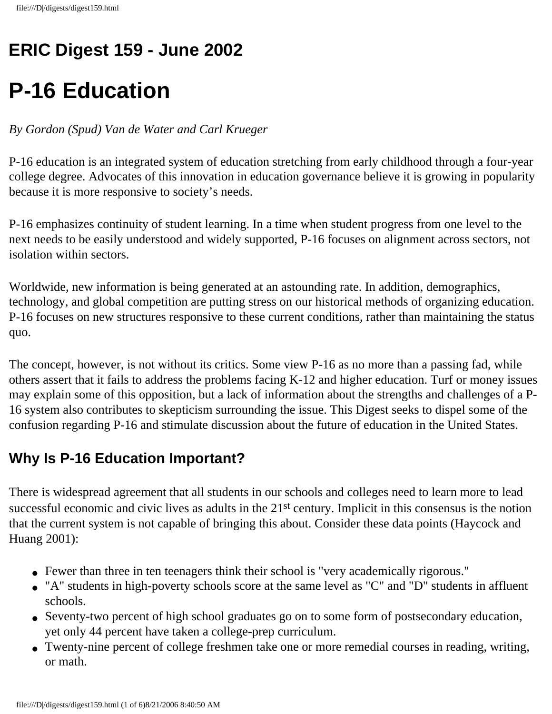## **ERIC Digest 159 - June 2002**

# **P-16 Education**

#### *By Gordon (Spud) Van de Water and Carl Krueger*

P-16 education is an integrated system of education stretching from early childhood through a four-year college degree. Advocates of this innovation in education governance believe it is growing in popularity because it is more responsive to society's needs.

P-16 emphasizes continuity of student learning. In a time when student progress from one level to the next needs to be easily understood and widely supported, P-16 focuses on alignment across sectors, not isolation within sectors.

Worldwide, new information is being generated at an astounding rate. In addition, demographics, technology, and global competition are putting stress on our historical methods of organizing education. P-16 focuses on new structures responsive to these current conditions, rather than maintaining the status quo.

The concept, however, is not without its critics. Some view P-16 as no more than a passing fad, while others assert that it fails to address the problems facing K-12 and higher education. Turf or money issues may explain some of this opposition, but a lack of information about the strengths and challenges of a P-16 system also contributes to skepticism surrounding the issue. This Digest seeks to dispel some of the confusion regarding P-16 and stimulate discussion about the future of education in the United States.

#### **Why Is P-16 Education Important?**

There is widespread agreement that all students in our schools and colleges need to learn more to lead successful economic and civic lives as adults in the 21<sup>st</sup> century. Implicit in this consensus is the notion that the current system is not capable of bringing this about. Consider these data points (Haycock and Huang 2001):

- Fewer than three in ten teenagers think their school is "very academically rigorous."
- "A" students in high-poverty schools score at the same level as "C" and "D" students in affluent schools.
- Seventy-two percent of high school graduates go on to some form of postsecondary education, yet only 44 percent have taken a college-prep curriculum.
- Twenty-nine percent of college freshmen take one or more remedial courses in reading, writing, or math.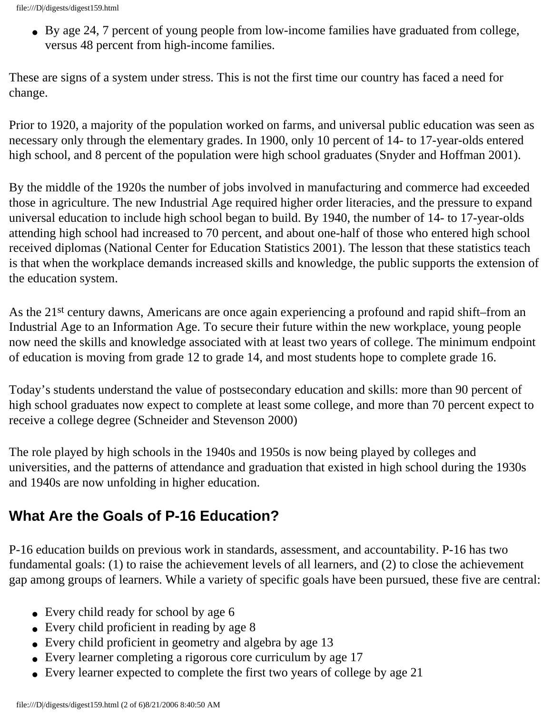• By age 24, 7 percent of young people from low-income families have graduated from college, versus 48 percent from high-income families.

These are signs of a system under stress. This is not the first time our country has faced a need for change.

Prior to 1920, a majority of the population worked on farms, and universal public education was seen as necessary only through the elementary grades. In 1900, only 10 percent of 14- to 17-year-olds entered high school, and 8 percent of the population were high school graduates (Snyder and Hoffman 2001).

By the middle of the 1920s the number of jobs involved in manufacturing and commerce had exceeded those in agriculture. The new Industrial Age required higher order literacies, and the pressure to expand universal education to include high school began to build. By 1940, the number of 14- to 17-year-olds attending high school had increased to 70 percent, and about one-half of those who entered high school received diplomas (National Center for Education Statistics 2001). The lesson that these statistics teach is that when the workplace demands increased skills and knowledge, the public supports the extension of the education system.

As the 21st century dawns, Americans are once again experiencing a profound and rapid shift–from an Industrial Age to an Information Age. To secure their future within the new workplace, young people now need the skills and knowledge associated with at least two years of college. The minimum endpoint of education is moving from grade 12 to grade 14, and most students hope to complete grade 16.

Today's students understand the value of postsecondary education and skills: more than 90 percent of high school graduates now expect to complete at least some college, and more than 70 percent expect to receive a college degree (Schneider and Stevenson 2000)

The role played by high schools in the 1940s and 1950s is now being played by colleges and universities, and the patterns of attendance and graduation that existed in high school during the 1930s and 1940s are now unfolding in higher education.

#### **What Are the Goals of P-16 Education?**

P-16 education builds on previous work in standards, assessment, and accountability. P-16 has two fundamental goals: (1) to raise the achievement levels of all learners, and (2) to close the achievement gap among groups of learners. While a variety of specific goals have been pursued, these five are central:

- Every child ready for school by age 6
- Every child proficient in reading by age 8
- Every child proficient in geometry and algebra by age 13
- Every learner completing a rigorous core curriculum by age 17
- Every learner expected to complete the first two years of college by age 21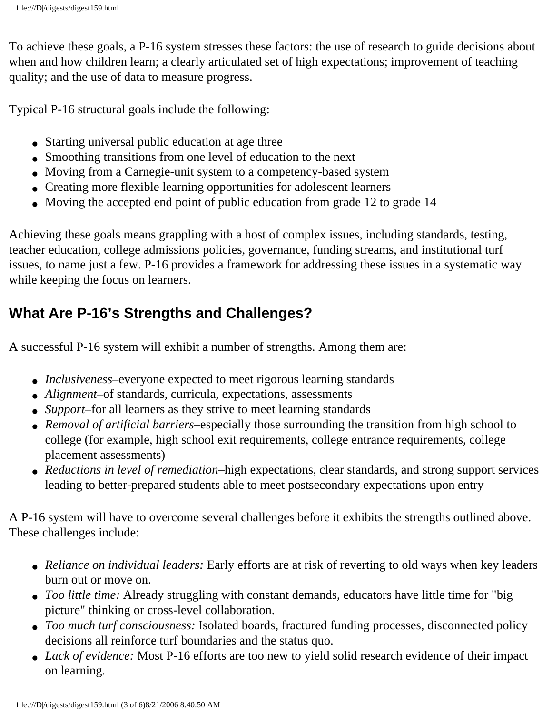To achieve these goals, a P-16 system stresses these factors: the use of research to guide decisions about when and how children learn; a clearly articulated set of high expectations; improvement of teaching quality; and the use of data to measure progress.

Typical P-16 structural goals include the following:

- Starting universal public education at age three
- Smoothing transitions from one level of education to the next
- Moving from a Carnegie-unit system to a competency-based system
- Creating more flexible learning opportunities for adolescent learners
- Moving the accepted end point of public education from grade 12 to grade 14

Achieving these goals means grappling with a host of complex issues, including standards, testing, teacher education, college admissions policies, governance, funding streams, and institutional turf issues, to name just a few. P-16 provides a framework for addressing these issues in a systematic way while keeping the focus on learners.

### **What Are P-16's Strengths and Challenges?**

A successful P-16 system will exhibit a number of strengths. Among them are:

- *Inclusiveness*—everyone expected to meet rigorous learning standards
- *Alignment*–of standards, curricula, expectations, assessments
- *Support*–for all learners as they strive to meet learning standards
- *Removal of artificial barriers*–especially those surrounding the transition from high school to college (for example, high school exit requirements, college entrance requirements, college placement assessments)
- *Reductions in level of remediation*–high expectations, clear standards, and strong support services leading to better-prepared students able to meet postsecondary expectations upon entry

A P-16 system will have to overcome several challenges before it exhibits the strengths outlined above. These challenges include:

- *Reliance on individual leaders:* Early efforts are at risk of reverting to old ways when key leaders burn out or move on.
- *Too little time:* Already struggling with constant demands, educators have little time for "big" picture" thinking or cross-level collaboration.
- *Too much turf consciousness:* Isolated boards, fractured funding processes, disconnected policy decisions all reinforce turf boundaries and the status quo.
- *Lack of evidence:* Most P-16 efforts are too new to yield solid research evidence of their impact on learning.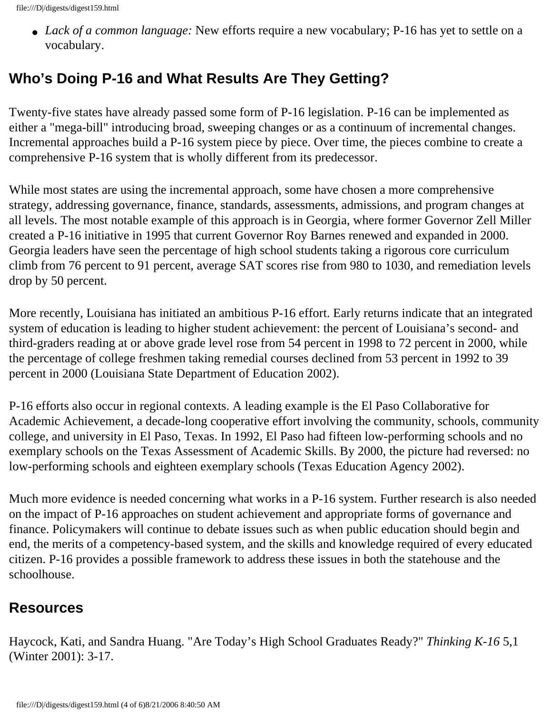• *Lack of a common language:* New efforts require a new vocabulary; P-16 has yet to settle on a vocabulary.

#### **Who's Doing P-16 and What Results Are They Getting?**

Twenty-five states have already passed some form of P-16 legislation. P-16 can be implemented as either a "mega-bill" introducing broad, sweeping changes or as a continuum of incremental changes. Incremental approaches build a P-16 system piece by piece. Over time, the pieces combine to create a comprehensive P-16 system that is wholly different from its predecessor.

While most states are using the incremental approach, some have chosen a more comprehensive strategy, addressing governance, finance, standards, assessments, admissions, and program changes at all levels. The most notable example of this approach is in Georgia, where former Governor Zell Miller created a P-16 initiative in 1995 that current Governor Roy Barnes renewed and expanded in 2000. Georgia leaders have seen the percentage of high school students taking a rigorous core curriculum climb from 76 percent to 91 percent, average SAT scores rise from 980 to 1030, and remediation levels drop by 50 percent.

More recently, Louisiana has initiated an ambitious P-16 effort. Early returns indicate that an integrated system of education is leading to higher student achievement: the percent of Louisiana's second- and third-graders reading at or above grade level rose from 54 percent in 1998 to 72 percent in 2000, while the percentage of college freshmen taking remedial courses declined from 53 percent in 1992 to 39 percent in 2000 (Louisiana State Department of Education 2002).

P-16 efforts also occur in regional contexts. A leading example is the El Paso Collaborative for Academic Achievement, a decade-long cooperative effort involving the community, schools, community college, and university in El Paso, Texas. In 1992, El Paso had fifteen low-performing schools and no exemplary schools on the Texas Assessment of Academic Skills. By 2000, the picture had reversed: no low-performing schools and eighteen exemplary schools (Texas Education Agency 2002).

Much more evidence is needed concerning what works in a P-16 system. Further research is also needed on the impact of P-16 approaches on student achievement and appropriate forms of governance and finance. Policymakers will continue to debate issues such as when public education should begin and end, the merits of a competency-based system, and the skills and knowledge required of every educated citizen. P-16 provides a possible framework to address these issues in both the statehouse and the schoolhouse.

#### **Resources**

Haycock, Kati, and Sandra Huang. "Are Today's High School Graduates Ready?" *Thinking K-16* 5,1 (Winter 2001): 3-17.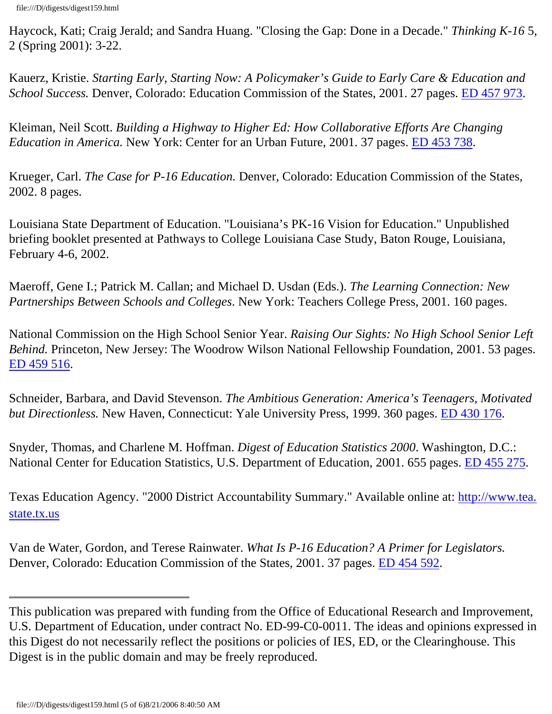Haycock, Kati; Craig Jerald; and Sandra Huang. "Closing the Gap: Done in a Decade." *Thinking K-16* 5, 2 (Spring 2001): 3-22.

Kauerz, Kristie. *Starting Early, Starting Now: A Policymaker's Guide to Early Care & Education and School Success.* Denver, Colorado: Education Commission of the States, 2001. 27 pages. [ED 457 973.](http://eric.uoregon.edu/search_find/ericdb/detail.php?AC=ED457973)

Kleiman, Neil Scott. *Building a Highway to Higher Ed: How Collaborative Efforts Are Changing Education in America.* New York: Center for an Urban Future, 2001. 37 pages. [ED 453 738](http://eric.uoregon.edu/search_find/ericdb/detail.php?AC=ED453738).

Krueger, Carl. *The Case for P-16 Education.* Denver, Colorado: Education Commission of the States, 2002. 8 pages.

Louisiana State Department of Education. "Louisiana's PK-16 Vision for Education." Unpublished briefing booklet presented at Pathways to College Louisiana Case Study, Baton Rouge, Louisiana, February 4-6, 2002.

Maeroff, Gene I.; Patrick M. Callan; and Michael D. Usdan (Eds.). *The Learning Connection: New Partnerships Between Schools and Colleges*. New York: Teachers College Press, 2001. 160 pages.

National Commission on the High School Senior Year. *Raising Our Sights: No High School Senior Left Behind.* Princeton, New Jersey: The Woodrow Wilson National Fellowship Foundation, 2001. 53 pages. [ED 459 516.](http://eric.uoregon.edu/search_find/ericdb/detail.php?AC=ED459516)

Schneider, Barbara, and David Stevenson. *The Ambitious Generation: America's Teenagers, Motivated but Directionless.* New Haven, Connecticut: Yale University Press, 1999. 360 pages. [ED 430 176.](http://eric.uoregon.edu/search_find/ericdb/detail.php?AC=ED430176)

Snyder, Thomas, and Charlene M. Hoffman. *Digest of Education Statistics 2000*. Washington, D.C.: National Center for Education Statistics, U.S. Department of Education, 2001. 655 pages. [ED 455 275](http://eric.uoregon.edu/search_find/ericdb/detail.php?AC=ED455275).

Texas Education Agency. "2000 District Accountability Summary." Available online at: [http://www.tea.](http://www.tea.state.tx.us/) [state.tx.us](http://www.tea.state.tx.us/)

Van de Water, Gordon, and Terese Rainwater. *What Is P-16 Education? A Primer for Legislators.* Denver, Colorado: Education Commission of the States, 2001. 37 pages. [ED 454 592.](http://eric.uoregon.edu/search_find/ericdb/detail.php?AC=ED454592)

This publication was prepared with funding from the Office of Educational Research and Improvement, U.S. Department of Education, under contract No. ED-99-C0-0011. The ideas and opinions expressed in this Digest do not necessarily reflect the positions or policies of IES, ED, or the Clearinghouse. This Digest is in the public domain and may be freely reproduced.